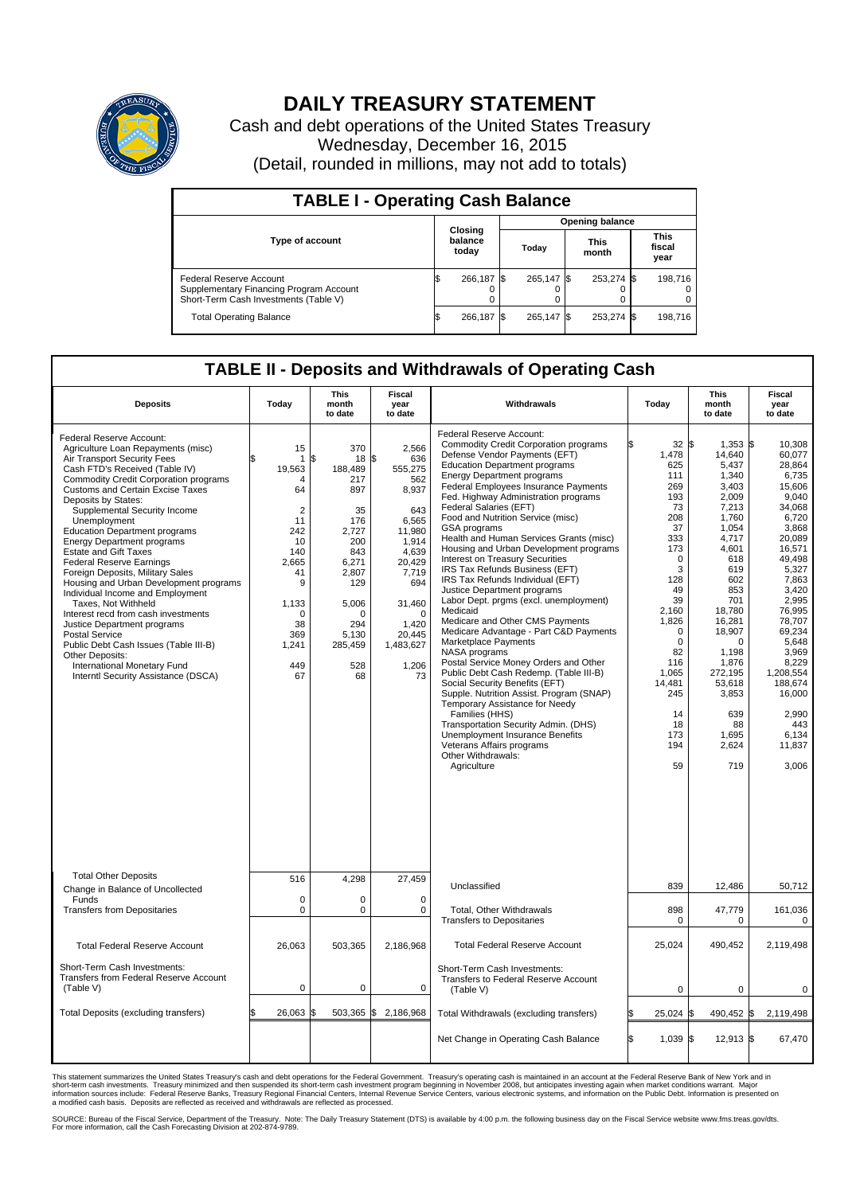

## **DAILY TREASURY STATEMENT**

Cash and debt operations of the United States Treasury Wednesday, December 16, 2015 (Detail, rounded in millions, may not add to totals)

| <b>TABLE I - Operating Cash Balance</b>                                                                     |    |                             |  |                        |  |                      |  |                               |  |  |  |
|-------------------------------------------------------------------------------------------------------------|----|-----------------------------|--|------------------------|--|----------------------|--|-------------------------------|--|--|--|
|                                                                                                             |    |                             |  | <b>Opening balance</b> |  |                      |  |                               |  |  |  |
| <b>Type of account</b>                                                                                      |    | Closing<br>balance<br>today |  | Today                  |  | <b>This</b><br>month |  | <b>This</b><br>fiscal<br>year |  |  |  |
| Federal Reserve Account<br>Supplementary Financing Program Account<br>Short-Term Cash Investments (Table V) |    | 266.187 \$                  |  | 265.147 \$             |  | 253,274 \$           |  | 198,716                       |  |  |  |
| <b>Total Operating Balance</b>                                                                              | IЭ | 266.187 \$                  |  | 265.147 \$             |  | 253,274 \$           |  | 198,716                       |  |  |  |

## **TABLE II - Deposits and Withdrawals of Operating Cash**

| <b>Deposits</b>                                                                                                                                                                                                                                                                                                                                                                                                                                                                                                                                                                                                                                                                                                                                                                                                             | Today                                                                                                                                                             | This<br>month<br>to date                                                                                                                                       | Fiscal<br>year<br>to date                                                                                                                                                          | Withdrawals                                                                                                                                                                                                                                                                                                                                                                                                                                                                                                                                                                                                                                                                                                                                                                                                                                                                                                                                                                                                                                                                                                                             | Today                                                                                                                                                                                                                                        | <b>This</b><br>month<br>to date                                                                                                                                                                                                                                          | Fiscal<br>year<br>to date                                                                                                                                                                                                                                                                   |
|-----------------------------------------------------------------------------------------------------------------------------------------------------------------------------------------------------------------------------------------------------------------------------------------------------------------------------------------------------------------------------------------------------------------------------------------------------------------------------------------------------------------------------------------------------------------------------------------------------------------------------------------------------------------------------------------------------------------------------------------------------------------------------------------------------------------------------|-------------------------------------------------------------------------------------------------------------------------------------------------------------------|----------------------------------------------------------------------------------------------------------------------------------------------------------------|------------------------------------------------------------------------------------------------------------------------------------------------------------------------------------|-----------------------------------------------------------------------------------------------------------------------------------------------------------------------------------------------------------------------------------------------------------------------------------------------------------------------------------------------------------------------------------------------------------------------------------------------------------------------------------------------------------------------------------------------------------------------------------------------------------------------------------------------------------------------------------------------------------------------------------------------------------------------------------------------------------------------------------------------------------------------------------------------------------------------------------------------------------------------------------------------------------------------------------------------------------------------------------------------------------------------------------------|----------------------------------------------------------------------------------------------------------------------------------------------------------------------------------------------------------------------------------------------|--------------------------------------------------------------------------------------------------------------------------------------------------------------------------------------------------------------------------------------------------------------------------|---------------------------------------------------------------------------------------------------------------------------------------------------------------------------------------------------------------------------------------------------------------------------------------------|
| Federal Reserve Account:<br>Agriculture Loan Repayments (misc)<br>Air Transport Security Fees<br>Cash FTD's Received (Table IV)<br><b>Commodity Credit Corporation programs</b><br><b>Customs and Certain Excise Taxes</b><br>Deposits by States:<br>Supplemental Security Income<br>Unemployment<br><b>Education Department programs</b><br><b>Energy Department programs</b><br><b>Estate and Gift Taxes</b><br><b>Federal Reserve Earnings</b><br>Foreign Deposits, Military Sales<br>Housing and Urban Development programs<br>Individual Income and Employment<br>Taxes, Not Withheld<br>Interest recd from cash investments<br>Justice Department programs<br><b>Postal Service</b><br>Public Debt Cash Issues (Table III-B)<br>Other Deposits:<br>International Monetary Fund<br>Interntl Security Assistance (DSCA) | 15<br>1<br>19,563<br>$\overline{4}$<br>64<br>$\overline{2}$<br>11<br>242<br>10<br>140<br>2,665<br>41<br>9<br>1,133<br>$\Omega$<br>38<br>369<br>1,241<br>449<br>67 | 370<br>\$<br>18 \$<br>188,489<br>217<br>897<br>35<br>176<br>2,727<br>200<br>843<br>6,271<br>2.807<br>129<br>5,006<br>∩<br>294<br>5,130<br>285,459<br>528<br>68 | 2,566<br>636<br>555,275<br>562<br>8,937<br>643<br>6,565<br>11,980<br>1,914<br>4,639<br>20,429<br>7,719<br>694<br>31,460<br>$\Omega$<br>1,420<br>20,445<br>1,483,627<br>1,206<br>73 | Federal Reserve Account:<br><b>Commodity Credit Corporation programs</b><br>Defense Vendor Payments (EFT)<br><b>Education Department programs</b><br><b>Energy Department programs</b><br><b>Federal Employees Insurance Payments</b><br>Fed. Highway Administration programs<br>Federal Salaries (EFT)<br>Food and Nutrition Service (misc)<br>GSA programs<br>Health and Human Services Grants (misc)<br>Housing and Urban Development programs<br>Interest on Treasury Securities<br>IRS Tax Refunds Business (EFT)<br>IRS Tax Refunds Individual (EFT)<br>Justice Department programs<br>Labor Dept. prgms (excl. unemployment)<br>Medicaid<br>Medicare and Other CMS Payments<br>Medicare Advantage - Part C&D Payments<br>Marketplace Payments<br>NASA programs<br>Postal Service Money Orders and Other<br>Public Debt Cash Redemp. (Table III-B)<br>Social Security Benefits (EFT)<br>Supple. Nutrition Assist. Program (SNAP)<br>Temporary Assistance for Needy<br>Families (HHS)<br>Transportation Security Admin. (DHS)<br>Unemployment Insurance Benefits<br>Veterans Affairs programs<br>Other Withdrawals:<br>Agriculture | $32 \,$ $\uparrow$<br>1,478<br>625<br>111<br>269<br>193<br>73<br>208<br>37<br>333<br>173<br>$\mathbf 0$<br>3<br>128<br>49<br>39<br>2,160<br>1,826<br>0<br>$\mathbf 0$<br>82<br>116<br>1,065<br>14,481<br>245<br>14<br>18<br>173<br>194<br>59 | $1,353$ \$<br>14,640<br>5.437<br>1,340<br>3.403<br>2,009<br>7.213<br>1,760<br>1.054<br>4,717<br>4,601<br>618<br>619<br>602<br>853<br>701<br>18,780<br>16,281<br>18,907<br>$\Omega$<br>1.198<br>1,876<br>272,195<br>53,618<br>3,853<br>639<br>88<br>1,695<br>2,624<br>719 | 10,308<br>60,077<br>28.864<br>6,735<br>15,606<br>9,040<br>34.068<br>6,720<br>3,868<br>20,089<br>16,571<br>49,498<br>5,327<br>7.863<br>3,420<br>2,995<br>76,995<br>78,707<br>69,234<br>5,648<br>3.969<br>8,229<br>1,208,554<br>188,674<br>16,000<br>2,990<br>443<br>6,134<br>11,837<br>3,006 |
| <b>Total Other Deposits</b><br>Change in Balance of Uncollected                                                                                                                                                                                                                                                                                                                                                                                                                                                                                                                                                                                                                                                                                                                                                             | 516                                                                                                                                                               | 4,298                                                                                                                                                          | 27,459                                                                                                                                                                             | Unclassified                                                                                                                                                                                                                                                                                                                                                                                                                                                                                                                                                                                                                                                                                                                                                                                                                                                                                                                                                                                                                                                                                                                            | 839                                                                                                                                                                                                                                          | 12,486                                                                                                                                                                                                                                                                   | 50,712                                                                                                                                                                                                                                                                                      |
| Funds<br><b>Transfers from Depositaries</b>                                                                                                                                                                                                                                                                                                                                                                                                                                                                                                                                                                                                                                                                                                                                                                                 | $\mathbf 0$<br>0                                                                                                                                                  | 0<br>0                                                                                                                                                         | 0<br>0                                                                                                                                                                             | Total, Other Withdrawals<br><b>Transfers to Depositaries</b>                                                                                                                                                                                                                                                                                                                                                                                                                                                                                                                                                                                                                                                                                                                                                                                                                                                                                                                                                                                                                                                                            | 898<br>0                                                                                                                                                                                                                                     | 47,779<br>0                                                                                                                                                                                                                                                              | 161,036<br>0                                                                                                                                                                                                                                                                                |
| <b>Total Federal Reserve Account</b>                                                                                                                                                                                                                                                                                                                                                                                                                                                                                                                                                                                                                                                                                                                                                                                        | 26,063                                                                                                                                                            | 503,365                                                                                                                                                        | 2,186,968                                                                                                                                                                          | <b>Total Federal Reserve Account</b>                                                                                                                                                                                                                                                                                                                                                                                                                                                                                                                                                                                                                                                                                                                                                                                                                                                                                                                                                                                                                                                                                                    | 25,024                                                                                                                                                                                                                                       | 490,452                                                                                                                                                                                                                                                                  | 2,119,498                                                                                                                                                                                                                                                                                   |
| Short-Term Cash Investments:<br>Transfers from Federal Reserve Account<br>(Table V)                                                                                                                                                                                                                                                                                                                                                                                                                                                                                                                                                                                                                                                                                                                                         | $\pmb{0}$                                                                                                                                                         | 0                                                                                                                                                              | $\mathbf 0$                                                                                                                                                                        | Short-Term Cash Investments:<br>Transfers to Federal Reserve Account<br>(Table V)                                                                                                                                                                                                                                                                                                                                                                                                                                                                                                                                                                                                                                                                                                                                                                                                                                                                                                                                                                                                                                                       | $\mathbf 0$                                                                                                                                                                                                                                  | 0                                                                                                                                                                                                                                                                        | $\mathbf 0$                                                                                                                                                                                                                                                                                 |
| Total Deposits (excluding transfers)                                                                                                                                                                                                                                                                                                                                                                                                                                                                                                                                                                                                                                                                                                                                                                                        | 26,063                                                                                                                                                            | $503,365$ \$<br>l\$                                                                                                                                            | 2,186,968                                                                                                                                                                          | Total Withdrawals (excluding transfers)                                                                                                                                                                                                                                                                                                                                                                                                                                                                                                                                                                                                                                                                                                                                                                                                                                                                                                                                                                                                                                                                                                 | 25,024 \$                                                                                                                                                                                                                                    | 490,452 \$                                                                                                                                                                                                                                                               | 2,119,498                                                                                                                                                                                                                                                                                   |
|                                                                                                                                                                                                                                                                                                                                                                                                                                                                                                                                                                                                                                                                                                                                                                                                                             |                                                                                                                                                                   |                                                                                                                                                                |                                                                                                                                                                                    | Net Change in Operating Cash Balance                                                                                                                                                                                                                                                                                                                                                                                                                                                                                                                                                                                                                                                                                                                                                                                                                                                                                                                                                                                                                                                                                                    | Ŝ.<br>1,039 \$                                                                                                                                                                                                                               | $12,913$ \$                                                                                                                                                                                                                                                              | 67,470                                                                                                                                                                                                                                                                                      |

This statement summarizes the United States Treasury's cash and debt operations for the Federal Government. Treasury's operating cash is maintained in an account at the Federal Reserve Bank of New York and in<br>short-term ca

SOURCE: Bureau of the Fiscal Service, Department of the Treasury. Note: The Daily Treasury Statement (DTS) is available by 4:00 p.m. the following business day on the Fiscal Service website www.fms.treas.gov/dts.<br>For more